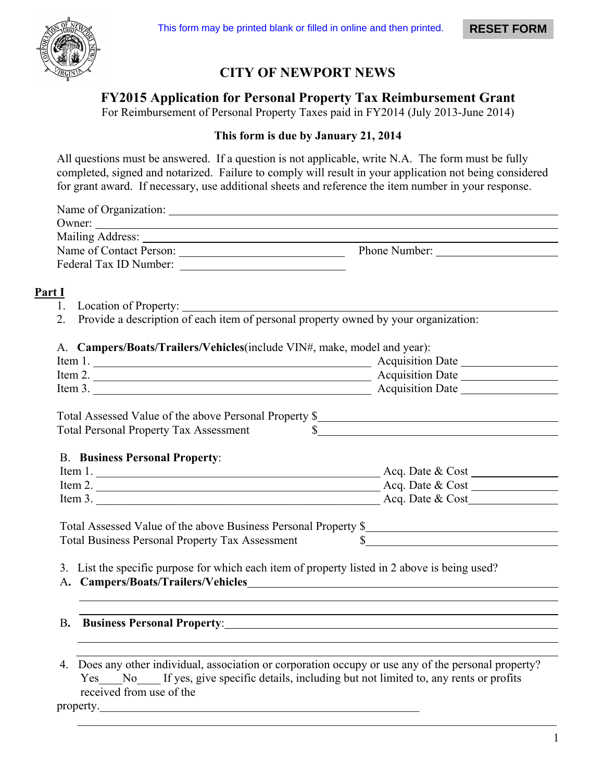

# **CITY OF NEWPORT NEWS**

**FY2015 Application for Personal Property Tax Reimbursement Grant** 

For Reimbursement of Personal Property Taxes paid in FY2014 (July 2013-June 2014)

### **This form is due by January 21, 2014**

All questions must be answered. If a question is not applicable, write N.A. The form must be fully completed, signed and notarized. Failure to comply will result in your application not being considered for grant award. If necessary, use additional sheets and reference the item number in your response.

| Name of Organization:                                                                                                                                                                                                                                                                                                                                                                                        |               |  |
|--------------------------------------------------------------------------------------------------------------------------------------------------------------------------------------------------------------------------------------------------------------------------------------------------------------------------------------------------------------------------------------------------------------|---------------|--|
| Owner: $\frac{1}{\sqrt{1-\frac{1}{2}}\sqrt{1-\frac{1}{2}}\sqrt{1-\frac{1}{2}}\sqrt{1-\frac{1}{2}}\sqrt{1-\frac{1}{2}}\sqrt{1-\frac{1}{2}}\sqrt{1-\frac{1}{2}}\sqrt{1-\frac{1}{2}}\sqrt{1-\frac{1}{2}}\sqrt{1-\frac{1}{2}}\sqrt{1-\frac{1}{2}}\sqrt{1-\frac{1}{2}}\sqrt{1-\frac{1}{2}}\sqrt{1-\frac{1}{2}}\sqrt{1-\frac{1}{2}}\sqrt{1-\frac{1}{2}}\sqrt{1-\frac{1}{2}}\sqrt{1-\frac{1}{2}}\sqrt{1-\frac{1}{2$ |               |  |
|                                                                                                                                                                                                                                                                                                                                                                                                              |               |  |
| Name of Contact Person:                                                                                                                                                                                                                                                                                                                                                                                      | Phone Number: |  |
| Federal Tax ID Number:                                                                                                                                                                                                                                                                                                                                                                                       |               |  |
|                                                                                                                                                                                                                                                                                                                                                                                                              |               |  |
| t I                                                                                                                                                                                                                                                                                                                                                                                                          |               |  |

- **Part I**
	- 1. Location of Property:
	- 2. Provide a description of each item of personal property owned by your organization:

A. **Campers/Boats/Trailers/Vehicles**(include VIN#, make, model and year):

| <b>Acquisition Date</b> |  |
|-------------------------|--|
| <b>Acquisition Date</b> |  |
| <b>Acquisition Date</b> |  |
|                         |  |

Total Assessed Value of the above Personal Property \$ Total Personal Property Tax Assessment \$

#### B. **Business Personal Property**:

| Item 1. | Acq. Date & Cost |
|---------|------------------|
| Item 2. | Acq. Date & Cost |
| Item 3. | Acq. Date & Cost |

| Total Assessed Value of the above Business Personal Property \$ |  |
|-----------------------------------------------------------------|--|
| <b>Total Business Personal Property Tax Assessment</b>          |  |

3. List the specific purpose for which each item of property listed in 2 above is being used?

A**. Campers/Boats/Trailers/Vehicles**

# B**. Business Personal Property**:

## 4. Does any other individual, association or corporation occupy or use any of the personal property? Yes No If yes, give specific details, including but not limited to, any rents or profits received from use of the

 $\mathcal{L}_\text{max}$  , and the contribution of the contribution of the contribution of the contribution of the contribution of the contribution of the contribution of the contribution of the contribution of the contribution of t

property.

 $\overline{a}$  $\overline{a}$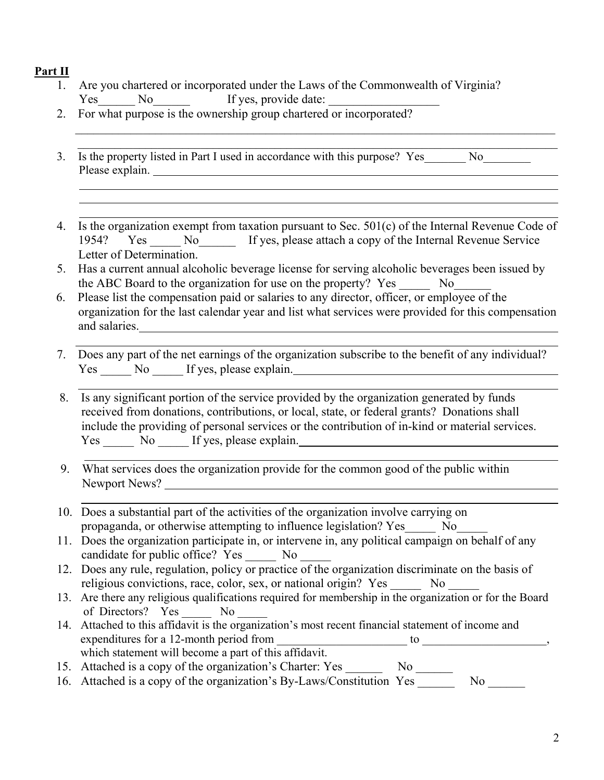### **Part II**

- 1. Are you chartered or incorporated under the Laws of the Commonwealth of Virginia? Yes No If yes, provide date:
- 2. For what purpose is the ownership group chartered or incorporated?
- 3. Is the property listed in Part I used in accordance with this purpose? Yes No Please explain.
- 4. Is the organization exempt from taxation pursuant to Sec. 501(c) of the Internal Revenue Code of 1954? Yes No Kingdom Service Revenue Service Revenue Service Letter of Determination.

 $\mathcal{L}_\text{max}$  , and the set of the set of the set of the set of the set of the set of the set of the set of the set of the set of the set of the set of the set of the set of the set of the set of the set of the set of the \_\_\_\_\_\_\_\_\_\_\_\_\_\_\_\_\_\_\_\_\_\_\_\_\_\_\_\_\_\_\_\_\_\_\_\_\_\_\_\_\_\_\_\_\_\_\_\_\_\_\_\_\_\_\_\_\_\_\_\_\_\_\_\_\_\_\_\_\_\_\_\_\_\_\_\_\_\_

- 5. Has a current annual alcoholic beverage license for serving alcoholic beverages been issued by the ABC Board to the organization for use on the property? Yes No
- 6. Please list the compensation paid or salaries to any director, officer, or employee of the organization for the last calendar year and list what services were provided for this compensation and salaries.
- 7. Does any part of the net earnings of the organization subscribe to the benefit of any individual? Yes No If yes, please explain.
	- 8. Is any significant portion of the service provided by the organization generated by funds received from donations, contributions, or local, state, or federal grants? Donations shall include the providing of personal services or the contribution of in-kind or material services. Yes No If yes, please explain.
	- 9. What services does the organization provide for the common good of the public within Newport News?
	- 10. Does a substantial part of the activities of the organization involve carrying on propaganda, or otherwise attempting to influence legislation? Yes\_\_\_\_\_ No\_\_\_\_\_
	- 11. Does the organization participate in, or intervene in, any political campaign on behalf of any candidate for public office? Yes \_\_\_\_\_\_ No \_\_\_\_\_\_
	- 12. Does any rule, regulation, policy or practice of the organization discriminate on the basis of religious convictions, race, color, sex, or national origin? Yes No
	- 13. Are there any religious qualifications required for membership in the organization or for the Board of Directors? Yes No
	- 14. Attached to this affidavit is the organization's most recent financial statement of income and expenditures for a 12-month period from \_\_\_\_\_\_\_\_\_\_\_\_\_\_\_\_\_\_\_\_\_\_ to \_\_\_\_\_\_\_\_\_\_\_\_\_\_\_\_\_\_\_\_\_, which statement will become a part of this affidavit.
	- 15. Attached is a copy of the organization's Charter: Yes \_\_\_\_\_\_\_\_ No \_\_\_\_\_\_\_
	- 16. Attached is a copy of the organization's By-Laws/Constitution Yes No No